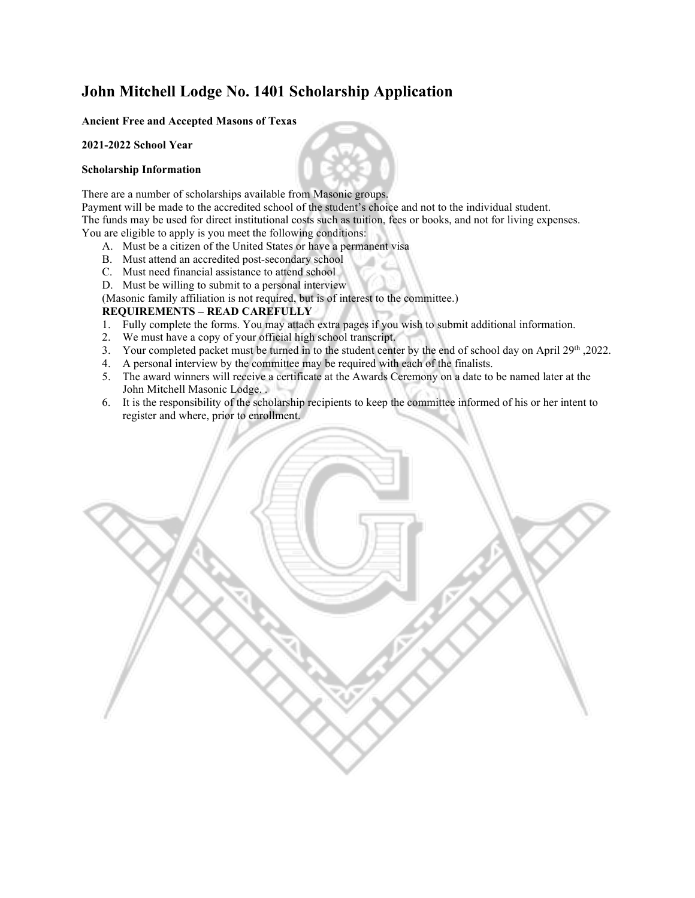### **John Mitchell Lodge No. 1401 Scholarship Application**

### **Ancient Free and Accepted Masons of Texas**

#### **2021-2022 School Year**

#### **Scholarship Information**

There are a number of scholarships available from Masonic groups.

Payment will be made to the accredited school of the student's choice and not to the individual student. The funds may be used for direct institutional costs such as tuition, fees or books, and not for living expenses. You are eligible to apply is you meet the following conditions:

- A. Must be a citizen of the United States or have a permanent visa
- B. Must attend an accredited post-secondary school
- C. Must need financial assistance to attend school
- D. Must be willing to submit to a personal interview

(Masonic family affiliation is not required, but is of interest to the committee.)

### **REQUIREMENTS – READ CAREFULLY**

- 1. Fully complete the forms. You may attach extra pages if you wish to submit additional information.
- 2. We must have a copy of your official high school transcript.
- 3. Your completed packet must be turned in to the student center by the end of school day on April  $29<sup>th</sup>$ , 2022.
- 4. A personal interview by the committee may be required with each of the finalists.
- 5. The award winners will receive a certificate at the Awards Ceremony on a date to be named later at the John Mitchell Masonic Lodge. .
- 6. It is the responsibility of the scholarship recipients to keep the committee informed of his or her intent to register and where, prior to enrollment.

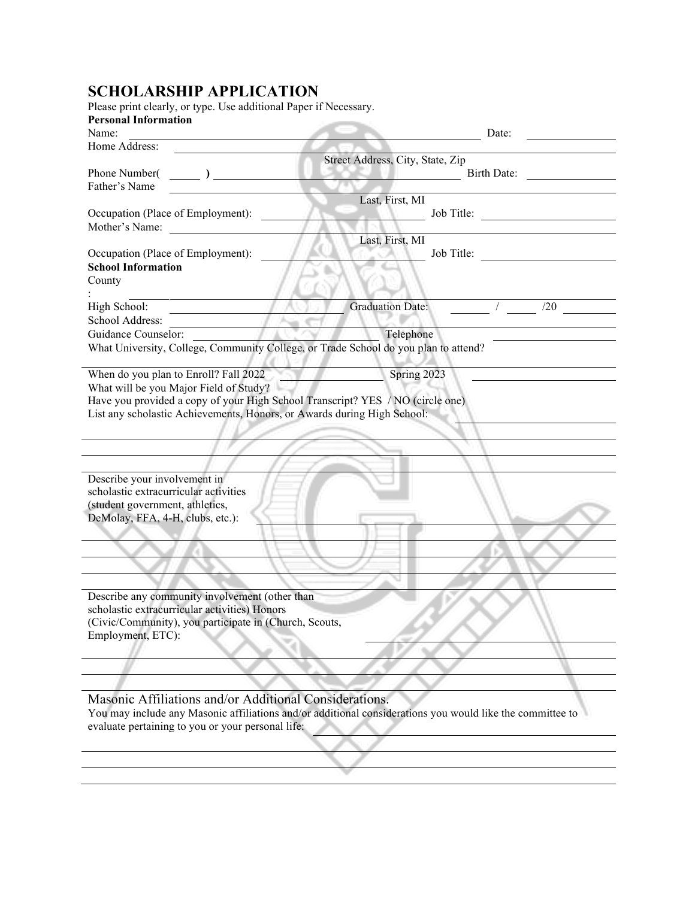### **SCHOLARSHIP APPLICATION**

| <b>Personal Information</b><br>Name:                                                | Date:                                                                                                     |
|-------------------------------------------------------------------------------------|-----------------------------------------------------------------------------------------------------------|
| Home Address:                                                                       |                                                                                                           |
|                                                                                     | Street Address, City, State, Zip                                                                          |
| Phone Number( $\qquad \qquad$ )                                                     | <b>Birth Date:</b>                                                                                        |
| Father's Name                                                                       |                                                                                                           |
|                                                                                     | Last, First, MI                                                                                           |
| Occupation (Place of Employment):                                                   | Job Title:                                                                                                |
| Mother's Name:                                                                      |                                                                                                           |
| Occupation (Place of Employment):                                                   | Last, First, MI<br>Job Title:                                                                             |
| <b>School Information</b>                                                           |                                                                                                           |
| County                                                                              |                                                                                                           |
| High School:                                                                        | <b>Graduation Date:</b><br>/20                                                                            |
| School Address:                                                                     |                                                                                                           |
| Guidance Counselor:                                                                 | Telephone                                                                                                 |
| What University, College, Community College, or Trade School do you plan to attend? |                                                                                                           |
|                                                                                     |                                                                                                           |
| When do you plan to Enroll? Fall 2022                                               | Spring 2023                                                                                               |
| What will be you Major Field of Study?                                              |                                                                                                           |
| Have you provided a copy of your High School Transcript? YES / NO (circle one)      |                                                                                                           |
| List any scholastic Achievements, Honors, or Awards during High School:             |                                                                                                           |
|                                                                                     |                                                                                                           |
|                                                                                     |                                                                                                           |
|                                                                                     |                                                                                                           |
| Describe your involvement in                                                        |                                                                                                           |
| scholastic extracurricular activities                                               |                                                                                                           |
| (student government, athletics,                                                     |                                                                                                           |
| DeMolay, FFA, 4-H, clubs, etc.):                                                    |                                                                                                           |
|                                                                                     |                                                                                                           |
|                                                                                     |                                                                                                           |
|                                                                                     |                                                                                                           |
|                                                                                     |                                                                                                           |
| Describe any community involvement (other than                                      |                                                                                                           |
| scholastic extracurricular activities) Honors                                       |                                                                                                           |
| (Civic/Community), you participate in (Church, Scouts,                              |                                                                                                           |
| Employment, ETC):                                                                   |                                                                                                           |
|                                                                                     |                                                                                                           |
|                                                                                     |                                                                                                           |
|                                                                                     |                                                                                                           |
| Masonic Affiliations and/or Additional Considerations.                              |                                                                                                           |
|                                                                                     |                                                                                                           |
| evaluate pertaining to you or your personal life:                                   | You may include any Masonic affiliations and/or additional considerations you would like the committee to |
|                                                                                     |                                                                                                           |
|                                                                                     |                                                                                                           |
|                                                                                     |                                                                                                           |
|                                                                                     |                                                                                                           |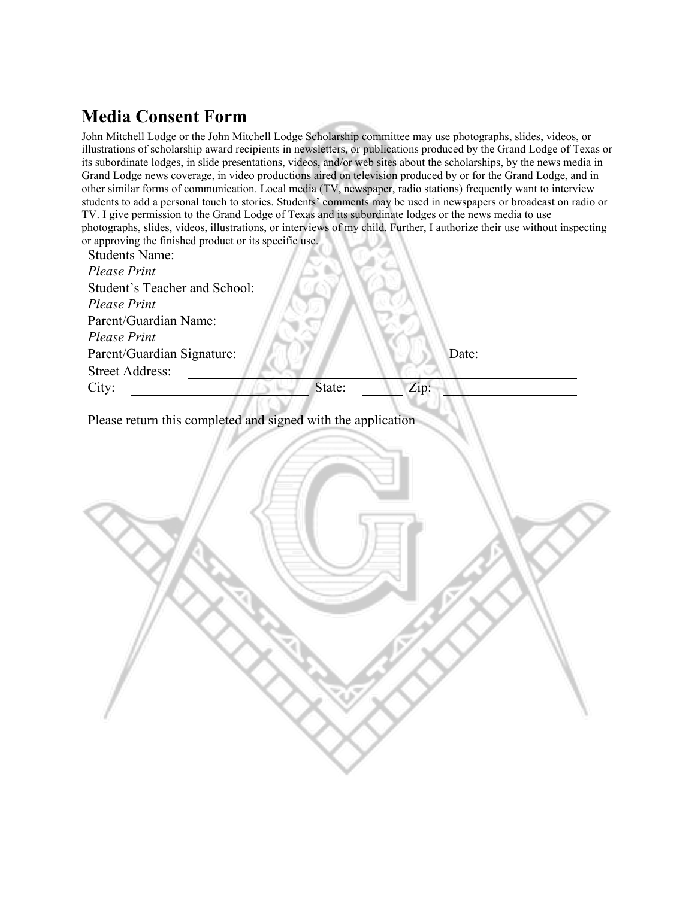# **Media Consent Form**

John Mitchell Lodge or the John Mitchell Lodge Scholarship committee may use photographs, slides, videos, or illustrations of scholarship award recipients in newsletters, or publications produced by the Grand Lodge of Texas or its subordinate lodges, in slide presentations, videos, and/or web sites about the scholarships, by the news media in Grand Lodge news coverage, in video productions aired on television produced by or for the Grand Lodge, and in other similar forms of communication. Local media (TV, newspaper, radio stations) frequently want to interview students to add a personal touch to stories. Students' comments may be used in newspapers or broadcast on radio or TV. I give permission to the Grand Lodge of Texas and its subordinate lodges or the news media to use photographs, slides, videos, illustrations, or interviews of my child. Further, I authorize their use without inspecting or approving the finished product or its specific use.

| <b>Students Name:</b>                                        |
|--------------------------------------------------------------|
| <b>Please Print</b>                                          |
| Student's Teacher and School:                                |
| <b>Please Print</b>                                          |
| Parent/Guardian Name:                                        |
| <b>Please Print</b>                                          |
| Parent/Guardian Signature:<br>Date:                          |
| <b>Street Address:</b>                                       |
| State:<br>Zip:<br>City:                                      |
|                                                              |
| Please return this completed and signed with the application |
|                                                              |